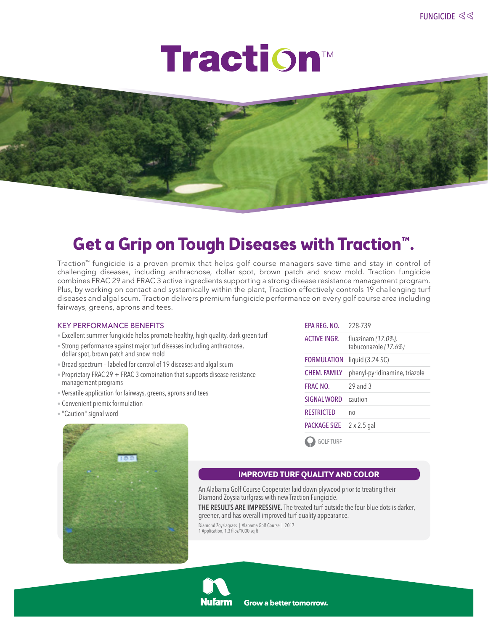# Traction™



### **Get a Grip on Tough Diseases with Traction™.**

Traction™ fungicide is a proven premix that helps golf course managers save time and stay in control of challenging diseases, including anthracnose, dollar spot, brown patch and snow mold. Traction fungicide combines FRAC 29 and FRAC 3 active ingredients supporting a strong disease resistance management program. Plus, by working on contact and systemically within the plant, Traction effectively controls 19 challenging turf diseases and algal scum. Traction delivers premium fungicide performance on every golf course area including fairways, greens, aprons and tees.

#### KEY PERFORMANCE BENEFITS

- Excellent summer fungicide helps promote healthy, high quality, dark green turf
- Strong performance against major turf diseases including anthracnose, dollar spot, brown patch and snow mold
- Broad spectrum labeled for control of 19 diseases and algal scum
- Proprietary FRAC 29  $+$  FRAC 3 combination that supports disease resistance management programs
- Versatile application for fairways, greens, aprons and tees
- Convenient premix formulation
- "Caution" signal word

| FPA RFG. NO.        | 228-739                                    |
|---------------------|--------------------------------------------|
| <b>ACTIVE INGR.</b> | fluazinam (17.0%),<br>tebuconazole (17.6%) |
| <b>FORMULATION</b>  | liquid $(3.24 SC)$                         |
| <b>CHEM. FAMILY</b> | phenyl-pyridinamine, triazole              |
| <b>FRAC NO.</b>     | 29 and 3                                   |
| SIGNAL WORD         | caution                                    |
| <b>RESTRICTED</b>   | no                                         |
| <b>PACKAGE SIZE</b> | $2 \times 2.5$ gal                         |
| <b>GOLF TURF</b>    |                                            |



#### **IMPROVED TURF QUALITY AND COLOR**

An Alabama Golf Course Cooperater laid down plywood prior to treating their Diamond Zoysia turfgrass with new Traction Fungicide.

THE RESULTS ARE IMPRESSIVE. The treated turf outside the four blue dots is darker, greener, and has overall improved turf quality appearance.

Diamond Zoysiagrass | Alabama Golf Course | 2017 1 Application, 1.3 fl oz/1000 sq ft